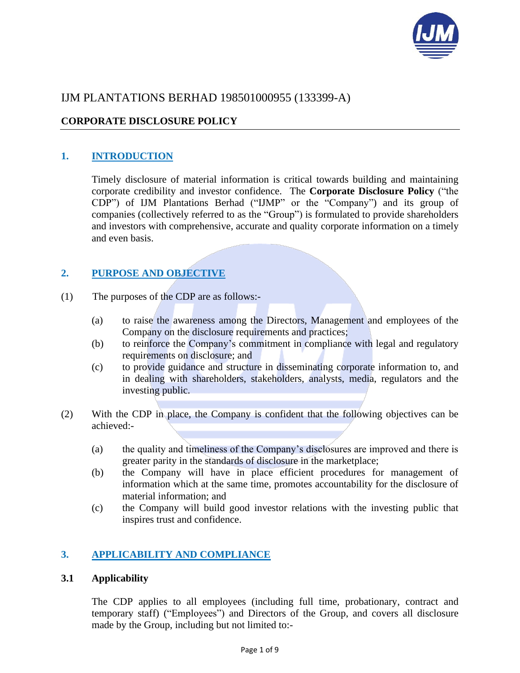

# IJM PLANTATIONS BERHAD 198501000955 (133399-A)

## **CORPORATE DISCLOSURE POLICY**

## **1. INTRODUCTION**

Timely disclosure of material information is critical towards building and maintaining corporate credibility and investor confidence. The **Corporate Disclosure Policy** ("the CDP") of IJM Plantations Berhad ("IJMP" or the "Company") and its group of companies (collectively referred to as the "Group") is formulated to provide shareholders and investors with comprehensive, accurate and quality corporate information on a timely and even basis.

## **2. PURPOSE AND OBJECTIVE**

- (1) The purposes of the CDP are as follows:-
	- (a) to raise the awareness among the Directors, Management and employees of the Company on the disclosure requirements and practices;
	- (b) to reinforce the Company's commitment in compliance with legal and regulatory requirements on disclosure; and
	- (c) to provide guidance and structure in disseminating corporate information to, and in dealing with shareholders, stakeholders, analysts, media, regulators and the investing public.
- (2) With the CDP in place, the Company is confident that the following objectives can be achieved:-
	- (a) the quality and timeliness of the Company's disclosures are improved and there is greater parity in the standards of disclosure in the marketplace;
	- (b) the Company will have in place efficient procedures for management of information which at the same time, promotes accountability for the disclosure of material information; and
	- (c) the Company will build good investor relations with the investing public that inspires trust and confidence.

## **3. APPLICABILITY AND COMPLIANCE**

### **3.1 Applicability**

The CDP applies to all employees (including full time, probationary, contract and temporary staff) ("Employees") and Directors of the Group, and covers all disclosure made by the Group, including but not limited to:-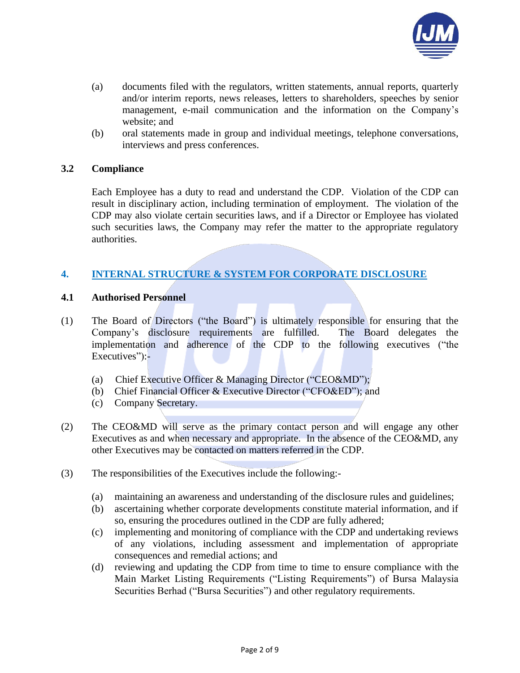

- (a) documents filed with the regulators, written statements, annual reports, quarterly and/or interim reports, news releases, letters to shareholders, speeches by senior management, e-mail communication and the information on the Company's website; and
- (b) oral statements made in group and individual meetings, telephone conversations, interviews and press conferences.

### **3.2 Compliance**

Each Employee has a duty to read and understand the CDP. Violation of the CDP can result in disciplinary action, including termination of employment. The violation of the CDP may also violate certain securities laws, and if a Director or Employee has violated such securities laws, the Company may refer the matter to the appropriate regulatory authorities.

## **4. INTERNAL STRUCTURE & SYSTEM FOR CORPORATE DISCLOSURE**

### **4.1 Authorised Personnel**

- (1) The Board of Directors ("the Board") is ultimately responsible for ensuring that the Company's disclosure requirements are fulfilled. The Board delegates the implementation and adherence of the CDP to the following executives ("the Executives":-
	- (a) Chief Executive Officer & Managing Director ("CEO&MD");
	- (b) Chief Financial Officer & Executive Director ("CFO&ED"); and
	- (c) Company Secretary.
- (2) The CEO&MD will serve as the primary contact person and will engage any other Executives as and when necessary and appropriate. In the absence of the CEO&MD, any other Executives may be contacted on matters referred in the CDP.
- (3) The responsibilities of the Executives include the following:-
	- (a) maintaining an awareness and understanding of the disclosure rules and guidelines;
	- (b) ascertaining whether corporate developments constitute material information, and if so, ensuring the procedures outlined in the CDP are fully adhered;
	- (c) implementing and monitoring of compliance with the CDP and undertaking reviews of any violations, including assessment and implementation of appropriate consequences and remedial actions; and
	- (d) reviewing and updating the CDP from time to time to ensure compliance with the Main Market Listing Requirements ("Listing Requirements") of Bursa Malaysia Securities Berhad ("Bursa Securities") and other regulatory requirements.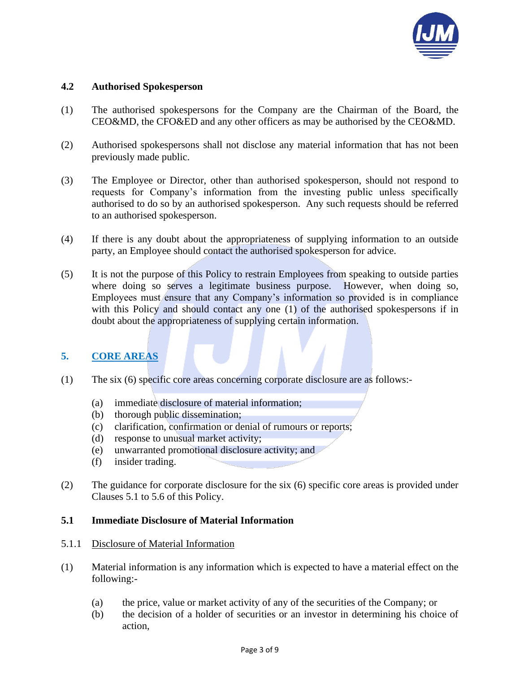

## **4.2 Authorised Spokesperson**

- (1) The authorised spokespersons for the Company are the Chairman of the Board, the CEO&MD, the CFO&ED and any other officers as may be authorised by the CEO&MD.
- (2) Authorised spokespersons shall not disclose any material information that has not been previously made public.
- (3) The Employee or Director, other than authorised spokesperson, should not respond to requests for Company's information from the investing public unless specifically authorised to do so by an authorised spokesperson. Any such requests should be referred to an authorised spokesperson.
- (4) If there is any doubt about the appropriateness of supplying information to an outside party, an Employee should contact the authorised spokesperson for advice.
- (5) It is not the purpose of this Policy to restrain Employees from speaking to outside parties where doing so serves a legitimate business purpose. However, when doing so, Employees must ensure that any Company's information so provided is in compliance with this Policy and should contact any one (1) of the authorised spokespersons if in doubt about the appropriateness of supplying certain information.

## **5. CORE AREAS**

- (1) The six (6) specific core areas concerning corporate disclosure are as follows:-
	- (a) immediate disclosure of material information;
	- (b) thorough public dissemination;
	- (c) clarification, confirmation or denial of rumours or reports;
	- (d) response to unusual market activity;
	- (e) unwarranted promotional disclosure activity; and
	- (f) insider trading.
- (2) The guidance for corporate disclosure for the six (6) specific core areas is provided under Clauses 5.1 to 5.6 of this Policy.

## **5.1 Immediate Disclosure of Material Information**

- 5.1.1 Disclosure of Material Information
- (1) Material information is any information which is expected to have a material effect on the following:-
	- (a) the price, value or market activity of any of the securities of the Company; or
	- (b) the decision of a holder of securities or an investor in determining his choice of action,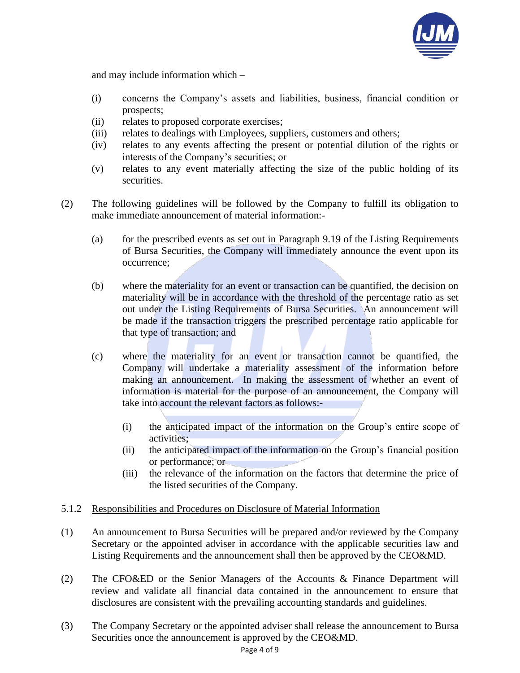

and may include information which –

- (i) concerns the Company's assets and liabilities, business, financial condition or prospects;
- (ii) relates to proposed corporate exercises;
- (iii) relates to dealings with Employees, suppliers, customers and others;
- (iv) relates to any events affecting the present or potential dilution of the rights or interests of the Company's securities; or
- (v) relates to any event materially affecting the size of the public holding of its securities.
- (2) The following guidelines will be followed by the Company to fulfill its obligation to make immediate announcement of material information:-
	- (a) for the prescribed events as set out in Paragraph 9.19 of the Listing Requirements of Bursa Securities, the Company will immediately announce the event upon its occurrence;
	- (b) where the materiality for an event or transaction can be quantified, the decision on materiality will be in accordance with the threshold of the percentage ratio as set out under the Listing Requirements of Bursa Securities. An announcement will be made if the transaction triggers the prescribed percentage ratio applicable for that type of transaction; and
	- (c) where the materiality for an event or transaction cannot be quantified, the Company will undertake a materiality assessment of the information before making an announcement. In making the assessment of whether an event of information is material for the purpose of an announcement, the Company will take into account the relevant factors as follows:-
		- (i) the anticipated impact of the information on the Group's entire scope of activities;
		- (ii) the anticipated impact of the information on the Group's financial position or performance; or
		- (iii) the relevance of the information on the factors that determine the price of the listed securities of the Company.

## 5.1.2 Responsibilities and Procedures on Disclosure of Material Information

- (1) An announcement to Bursa Securities will be prepared and/or reviewed by the Company Secretary or the appointed adviser in accordance with the applicable securities law and Listing Requirements and the announcement shall then be approved by the CEO&MD.
- (2) The CFO&ED or the Senior Managers of the Accounts & Finance Department will review and validate all financial data contained in the announcement to ensure that disclosures are consistent with the prevailing accounting standards and guidelines.
- (3) The Company Secretary or the appointed adviser shall release the announcement to Bursa Securities once the announcement is approved by the CEO&MD.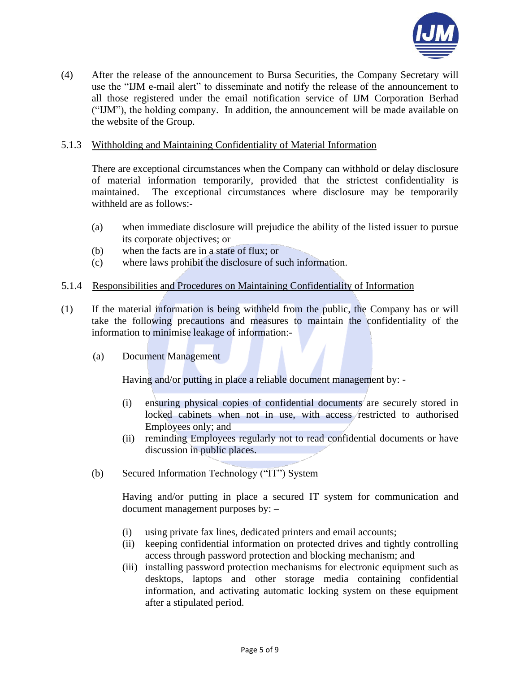

(4) After the release of the announcement to Bursa Securities, the Company Secretary will use the "IJM e-mail alert" to disseminate and notify the release of the announcement to all those registered under the email notification service of IJM Corporation Berhad ("IJM"), the holding company. In addition, the announcement will be made available on the website of the Group.

#### 5.1.3 Withholding and Maintaining Confidentiality of Material Information

There are exceptional circumstances when the Company can withhold or delay disclosure of material information temporarily, provided that the strictest confidentiality is maintained. The exceptional circumstances where disclosure may be temporarily withheld are as follows:-

- (a) when immediate disclosure will prejudice the ability of the listed issuer to pursue its corporate objectives; or
- (b) when the facts are in a state of flux; or
- (c) where laws prohibit the disclosure of such information.

#### 5.1.4 Responsibilities and Procedures on Maintaining Confidentiality of Information

- (1) If the material information is being withheld from the public, the Company has or will take the following precautions and measures to maintain the confidentiality of the information to minimise leakage of information:-
	- (a) Document Management

Having and/or putting in place a reliable document management by: -

- (i) ensuring physical copies of confidential documents are securely stored in locked cabinets when not in use, with access restricted to authorised Employees only; and
- (ii) reminding Employees regularly not to read confidential documents or have discussion in public places.
- (b) Secured Information Technology ("IT") System

Having and/or putting in place a secured IT system for communication and document management purposes by: –

- (i) using private fax lines, dedicated printers and email accounts;
- (ii) keeping confidential information on protected drives and tightly controlling access through password protection and blocking mechanism; and
- (iii) installing password protection mechanisms for electronic equipment such as desktops, laptops and other storage media containing confidential information, and activating automatic locking system on these equipment after a stipulated period.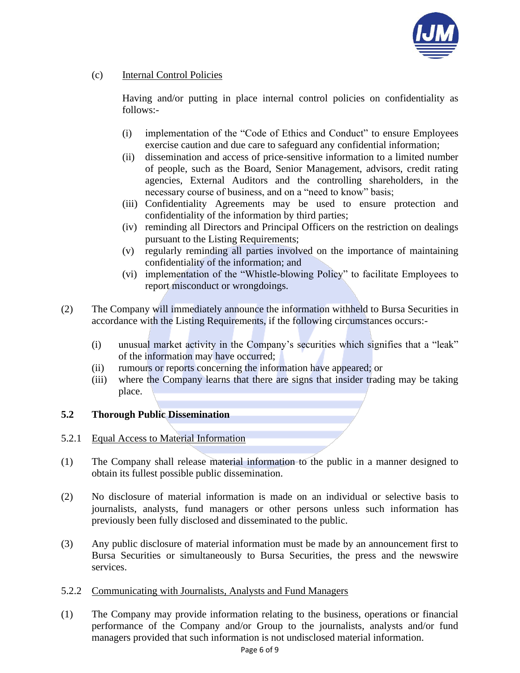

## (c) Internal Control Policies

Having and/or putting in place internal control policies on confidentiality as follows:-

- (i) implementation of the "Code of Ethics and Conduct" to ensure Employees exercise caution and due care to safeguard any confidential information;
- (ii) dissemination and access of price-sensitive information to a limited number of people, such as the Board, Senior Management, advisors, credit rating agencies, External Auditors and the controlling shareholders, in the necessary course of business, and on a "need to know" basis;
- (iii) Confidentiality Agreements may be used to ensure protection and confidentiality of the information by third parties;
- (iv) reminding all Directors and Principal Officers on the restriction on dealings pursuant to the Listing Requirements;
- (v) regularly reminding all parties involved on the importance of maintaining confidentiality of the information; and
- (vi) implementation of the "Whistle-blowing Policy" to facilitate Employees to report misconduct or wrongdoings.
- (2) The Company will immediately announce the information withheld to Bursa Securities in accordance with the Listing Requirements, if the following circumstances occurs:-
	- (i) unusual market activity in the Company's securities which signifies that a "leak" of the information may have occurred;
	- (ii) rumours or reports concerning the information have appeared; or
	- (iii) where the Company learns that there are signs that insider trading may be taking place.

### **5.2 Thorough Public Dissemination**

- 5.2.1 Equal Access to Material Information
- (1) The Company shall release material information to the public in a manner designed to obtain its fullest possible public dissemination.
- (2) No disclosure of material information is made on an individual or selective basis to journalists, analysts, fund managers or other persons unless such information has previously been fully disclosed and disseminated to the public.
- (3) Any public disclosure of material information must be made by an announcement first to Bursa Securities or simultaneously to Bursa Securities, the press and the newswire services.
- 5.2.2 Communicating with Journalists, Analysts and Fund Managers
- (1) The Company may provide information relating to the business, operations or financial performance of the Company and/or Group to the journalists, analysts and/or fund managers provided that such information is not undisclosed material information.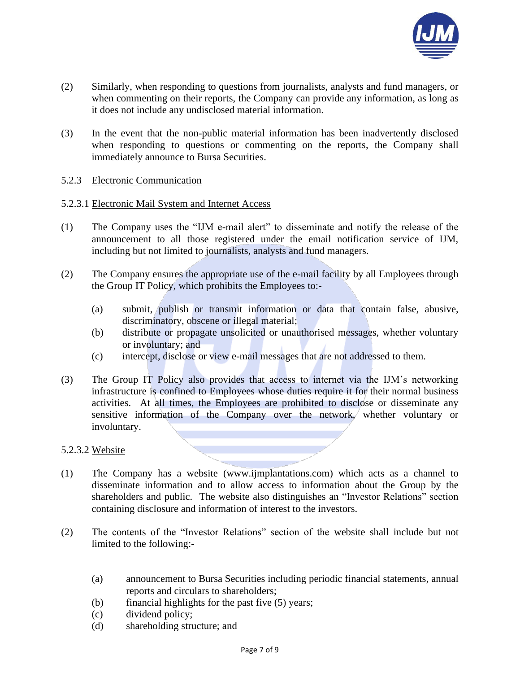

- (2) Similarly, when responding to questions from journalists, analysts and fund managers, or when commenting on their reports, the Company can provide any information, as long as it does not include any undisclosed material information.
- (3) In the event that the non-public material information has been inadvertently disclosed when responding to questions or commenting on the reports, the Company shall immediately announce to Bursa Securities.

### 5.2.3 Electronic Communication

### 5.2.3.1 Electronic Mail System and Internet Access

- (1) The Company uses the "IJM e-mail alert" to disseminate and notify the release of the announcement to all those registered under the email notification service of IJM, including but not limited to journalists, analysts and fund managers.
- (2) The Company ensures the appropriate use of the e-mail facility by all Employees through the Group IT Policy, which prohibits the Employees to:-
	- (a) submit, publish or transmit information or data that contain false, abusive, discriminatory, obscene or illegal material;
	- (b) distribute or propagate unsolicited or unauthorised messages, whether voluntary or involuntary; and
	- (c) intercept, disclose or view e-mail messages that are not addressed to them.
- (3) The Group IT Policy also provides that access to internet via the IJM's networking infrastructure is confined to Employees whose duties require it for their normal business activities. At all times, the Employees are prohibited to disclose or disseminate any sensitive information of the Company over the network, whether voluntary or involuntary.

### 5.2.3.2 Website

- (1) The Company has a website (www.ijmplantations.com) which acts as a channel to disseminate information and to allow access to information about the Group by the shareholders and public. The website also distinguishes an "Investor Relations" section containing disclosure and information of interest to the investors.
- (2) The contents of the "Investor Relations" section of the website shall include but not limited to the following:-
	- (a) announcement to Bursa Securities including periodic financial statements, annual reports and circulars to shareholders;
	- (b) financial highlights for the past five (5) years;
	- (c) dividend policy;
	- (d) shareholding structure; and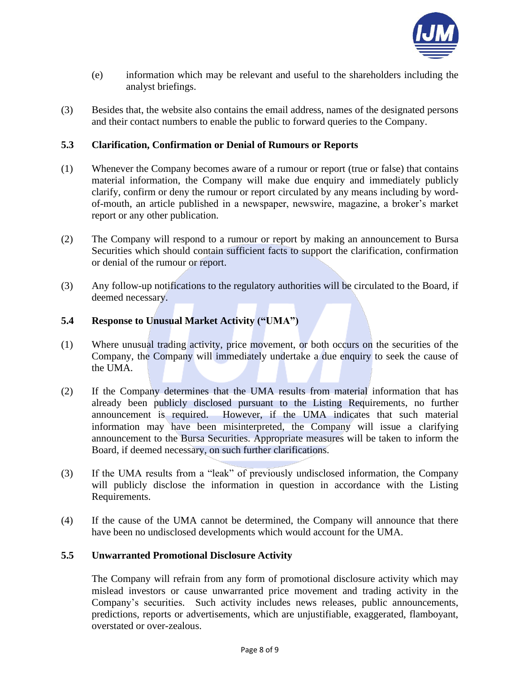

- (e) information which may be relevant and useful to the shareholders including the analyst briefings.
- (3) Besides that, the website also contains the email address, names of the designated persons and their contact numbers to enable the public to forward queries to the Company.

### **5.3 Clarification, Confirmation or Denial of Rumours or Reports**

- (1) Whenever the Company becomes aware of a rumour or report (true or false) that contains material information, the Company will make due enquiry and immediately publicly clarify, confirm or deny the rumour or report circulated by any means including by wordof-mouth, an article published in a newspaper, newswire, magazine, a broker's market report or any other publication.
- (2) The Company will respond to a rumour or report by making an announcement to Bursa Securities which should contain sufficient facts to support the clarification, confirmation or denial of the rumour or report.
- (3) Any follow-up notifications to the regulatory authorities will be circulated to the Board, if deemed necessary.

## **5.4 Response to Unusual Market Activity ("UMA")**

- (1) Where unusual trading activity, price movement, or both occurs on the securities of the Company, the Company will immediately undertake a due enquiry to seek the cause of the UMA.
- (2) If the Company determines that the UMA results from material information that has already been publicly disclosed pursuant to the Listing Requirements, no further announcement is required. However, if the UMA indicates that such material information may have been misinterpreted, the Company will issue a clarifying announcement to the Bursa Securities. Appropriate measures will be taken to inform the Board, if deemed necessary, on such further clarifications.
- (3) If the UMA results from a "leak" of previously undisclosed information, the Company will publicly disclose the information in question in accordance with the Listing Requirements.
- (4) If the cause of the UMA cannot be determined, the Company will announce that there have been no undisclosed developments which would account for the UMA.

### **5.5 Unwarranted Promotional Disclosure Activity**

The Company will refrain from any form of promotional disclosure activity which may mislead investors or cause unwarranted price movement and trading activity in the Company's securities. Such activity includes news releases, public announcements, predictions, reports or advertisements, which are unjustifiable, exaggerated, flamboyant, overstated or over-zealous.